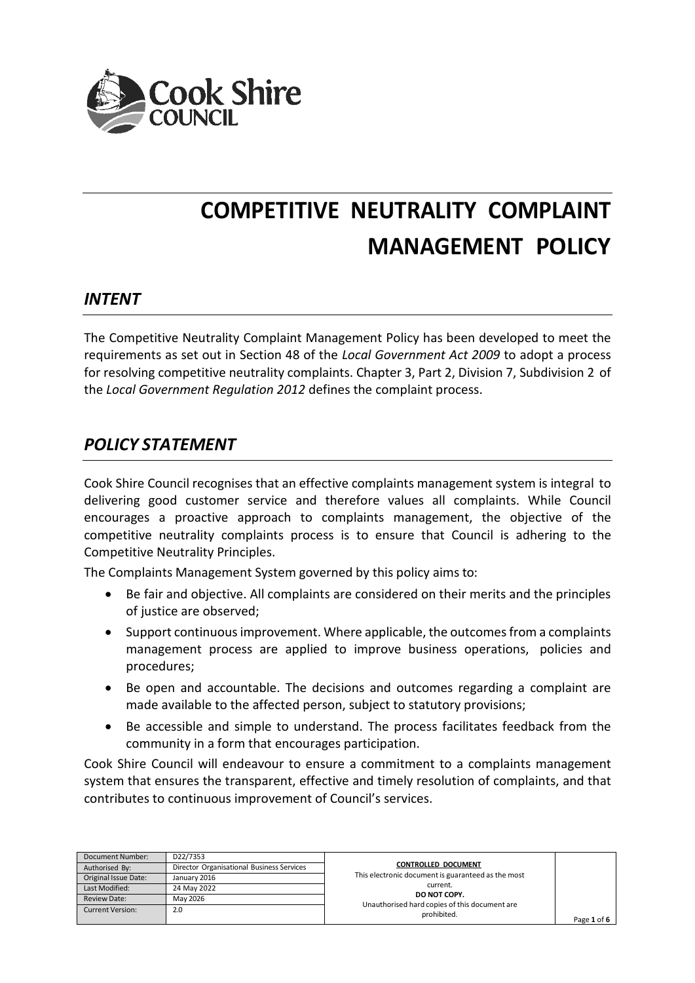

# **COMPETITIVE NEUTRALITY COMPLAINT MANAGEMENT POLICY**

# *INTENT*

The Competitive Neutrality Complaint Management Policy has been developed to meet the requirements as set out in Section 48 of the *Local Government Act 2009* to adopt a process for resolving competitive neutrality complaints. Chapter 3, Part 2, Division 7, Subdivision 2 of the *Local Government Regulation 2012* defines the complaint process.

# *POLICY STATEMENT*

Cook Shire Council recognises that an effective complaints management system is integral to delivering good customer service and therefore values all complaints. While Council encourages a proactive approach to complaints management, the objective of the competitive neutrality complaints process is to ensure that Council is adhering to the Competitive Neutrality Principles.

The Complaints Management System governed by this policy aims to:

- Be fair and objective. All complaints are considered on their merits and the principles of justice are observed;
- Support continuous improvement. Where applicable, the outcomes from a complaints management process are applied to improve business operations, policies and procedures;
- Be open and accountable. The decisions and outcomes regarding a complaint are made available to the affected person, subject to statutory provisions;
- Be accessible and simple to understand. The process facilitates feedback from the community in a form that encourages participation.

Cook Shire Council will endeavour to ensure a commitment to a complaints management system that ensures the transparent, effective and timely resolution of complaints, and that contributes to continuous improvement of Council's services.

| Document Number:        | D22/7353                                  |                                                               |             |
|-------------------------|-------------------------------------------|---------------------------------------------------------------|-------------|
| Authorised By:          | Director Organisational Business Services | <b>CONTROLLED DOCUMENT</b>                                    |             |
| Original Issue Date:    | January 2016                              | This electronic document is guaranteed as the most            |             |
| Last Modified:          | 24 May 2022                               | current.                                                      |             |
| <b>Review Date:</b>     | May 2026                                  | DO NOT COPY.<br>Unauthorised hard copies of this document are |             |
| <b>Current Version:</b> | 2.0                                       | prohibited.                                                   |             |
|                         |                                           |                                                               | Page 1 of 6 |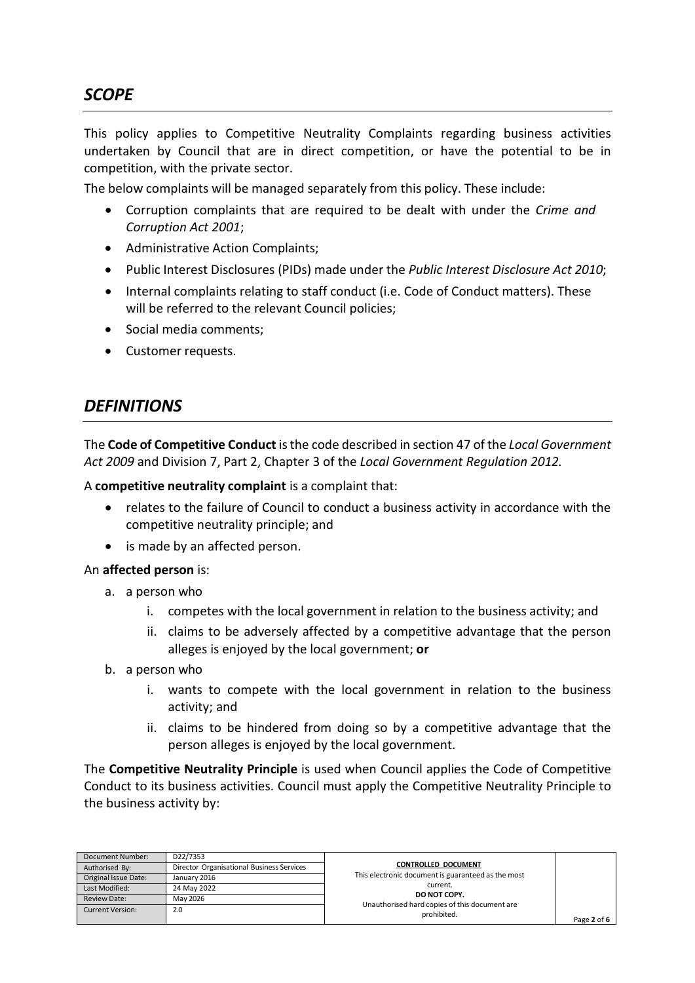This policy applies to Competitive Neutrality Complaints regarding business activities undertaken by Council that are in direct competition, or have the potential to be in competition, with the private sector.

The below complaints will be managed separately from this policy. These include:

- Corruption complaints that are required to be dealt with under the *Crime and Corruption Act 2001*;
- Administrative Action Complaints;
- Public Interest Disclosures (PIDs) made under the *Public Interest Disclosure Act 2010*;
- Internal complaints relating to staff conduct (i.e. Code of Conduct matters). These will be referred to the relevant Council policies;
- Social media comments;
- Customer requests.

# *DEFINITIONS*

The **Code of Competitive Conduct** is the code described in section 47 of the *Local Government Act 2009* and Division 7, Part 2, Chapter 3 of the *Local Government Regulation 2012.*

A **competitive neutrality complaint** is a complaint that:

- relates to the failure of Council to conduct a business activity in accordance with the competitive neutrality principle; and
- is made by an affected person.

#### An **affected person** is:

- a. a person who
	- i. competes with the local government in relation to the business activity; and
	- ii. claims to be adversely affected by a competitive advantage that the person alleges is enjoyed by the local government; **or**
- b. a person who
	- i. wants to compete with the local government in relation to the business activity; and
	- ii. claims to be hindered from doing so by a competitive advantage that the person alleges is enjoyed by the local government.

The **Competitive Neutrality Principle** is used when Council applies the Code of Competitive Conduct to its business activities. Council must apply the Competitive Neutrality Principle to the business activity by:

| Document Number:        | D22/7353                                  | CONTROLLED DOCUMENT                                           |             |
|-------------------------|-------------------------------------------|---------------------------------------------------------------|-------------|
| Authorised By:          | Director Organisational Business Services |                                                               |             |
| Original Issue Date:    | January 2016                              | This electronic document is guaranteed as the most            |             |
| Last Modified:          | 24 May 2022                               | current.                                                      |             |
| <b>Review Date:</b>     | May 2026                                  | DO NOT COPY.<br>Unauthorised hard copies of this document are |             |
| <b>Current Version:</b> | 2.0                                       | prohibited.                                                   |             |
|                         |                                           |                                                               | Page 2 of 6 |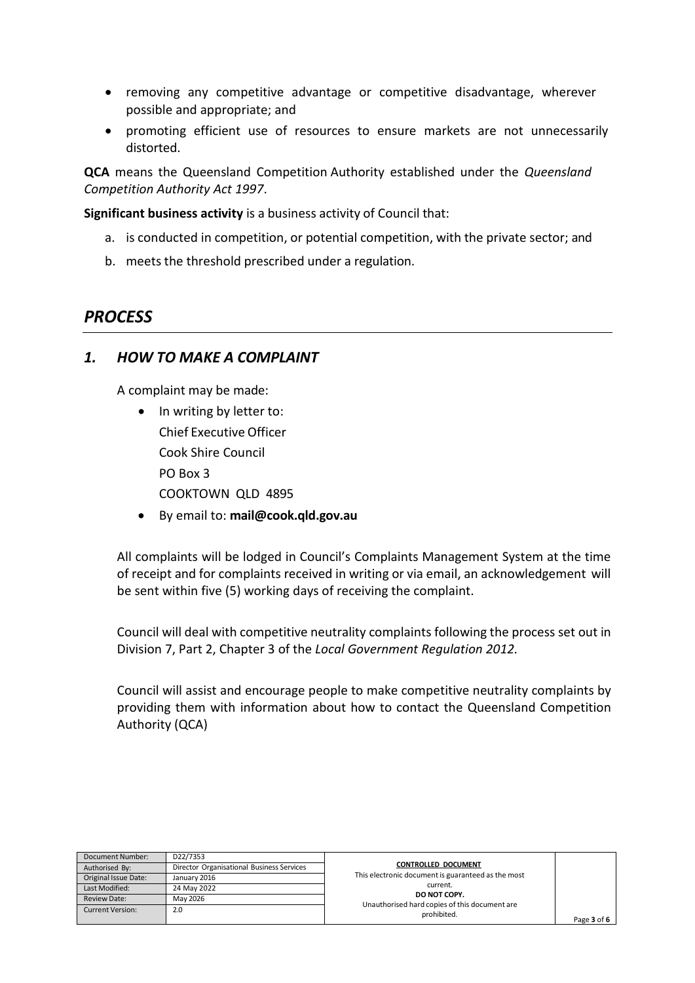- removing any competitive advantage or competitive disadvantage, wherever possible and appropriate; and
- promoting efficient use of resources to ensure markets are not unnecessarily distorted.

**QCA** means the Queensland Competition Authority established under the *Queensland Competition Authority Act 1997*.

**Significant business activity** is a business activity of Council that:

- a. is conducted in competition, or potential competition, with the private sector; and
- b. meets the threshold prescribed under a regulation.

#### *PROCESS*

#### *1. HOW TO MAKE A COMPLAINT*

A complaint may be made:

- In writing by letter to: Chief Executive Officer Cook Shire Council PO Box 3 COOKTOWN QLD 4895
- By email to: **[mail@cook.qld.gov.au](mailto:mail@cook.qld.gov.au)**

All complaints will be lodged in Council's Complaints Management System at the time of receipt and for complaints received in writing or via email, an acknowledgement will be sent within five (5) working days of receiving the complaint.

Council will deal with competitive neutrality complaints following the process set out in Division 7, Part 2, Chapter 3 of the *Local Government Regulation 2012.*

Council will assist and encourage people to make competitive neutrality complaints by providing them with information about how to contact the Queensland Competition Authority (QCA)

| Document Number:        | D22/7353                                  |                                                               |             |
|-------------------------|-------------------------------------------|---------------------------------------------------------------|-------------|
| Authorised By:          | Director Organisational Business Services | <b>CONTROLLED DOCUMENT</b>                                    |             |
| Original Issue Date:    | January 2016                              | This electronic document is guaranteed as the most            |             |
| Last Modified:          | 24 May 2022                               | current.                                                      |             |
| <b>Review Date:</b>     | May 2026                                  | DO NOT COPY.<br>Unauthorised hard copies of this document are |             |
| <b>Current Version:</b> | 2.0                                       | prohibited.                                                   |             |
|                         |                                           |                                                               | Page 3 of 6 |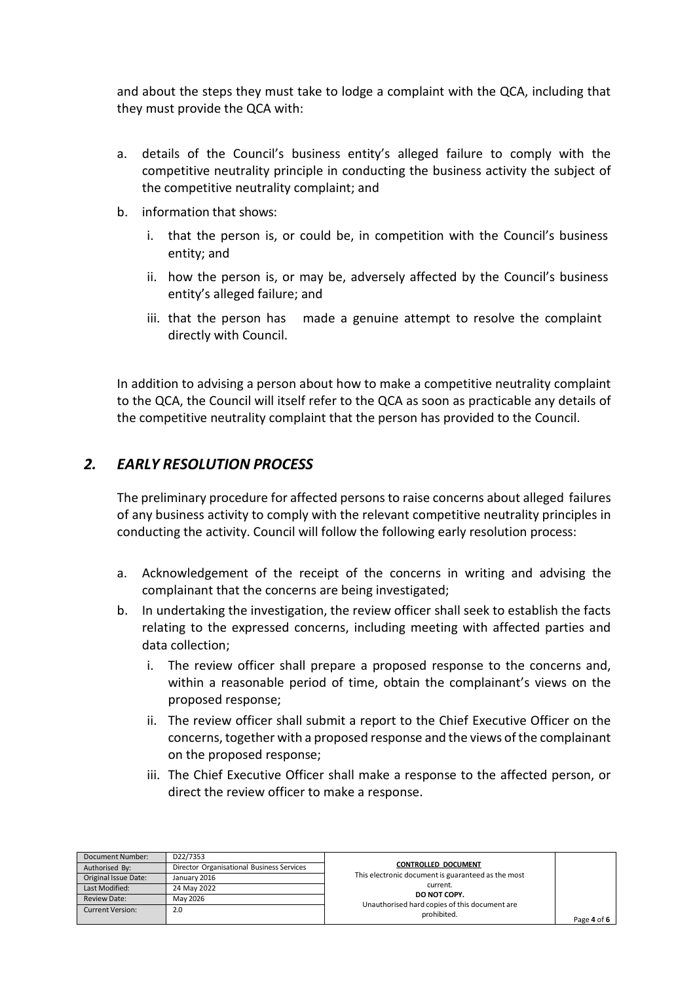and about the steps they must take to lodge a complaint with the QCA, including that they must provide the QCA with:

- a. details of the Council's business entity's alleged failure to comply with the competitive neutrality principle in conducting the business activity the subject of the competitive neutrality complaint; and
- b. information that shows:
	- i. that the person is, or could be, in competition with the Council's business entity; and
	- ii. how the person is, or may be, adversely affected by the Council's business entity's alleged failure; and
	- iii. that the person has made a genuine attempt to resolve the complaint directly with Council.

In addition to advising a person about how to make a competitive neutrality complaint to the QCA, the Council will itself refer to the QCA as soon as practicable any details of the competitive neutrality complaint that the person has provided to the Council.

### *2. EARLY RESOLUTION PROCESS*

The preliminary procedure for affected persons to raise concerns about alleged failures of any business activity to comply with the relevant competitive neutrality principles in conducting the activity. Council will follow the following early resolution process:

- a. Acknowledgement of the receipt of the concerns in writing and advising the complainant that the concerns are being investigated;
- b. In undertaking the investigation, the review officer shall seek to establish the facts relating to the expressed concerns, including meeting with affected parties and data collection;
	- i. The review officer shall prepare a proposed response to the concerns and, within a reasonable period of time, obtain the complainant's views on the proposed response;
	- ii. The review officer shall submit a report to the Chief Executive Officer on the concerns, together with a proposed response and the views of the complainant on the proposed response;
	- iii. The Chief Executive Officer shall make a response to the affected person, or direct the review officer to make a response.

| Document Number:        | D22/7353                                  | CONTROLLED DOCUMENT                                           |             |
|-------------------------|-------------------------------------------|---------------------------------------------------------------|-------------|
| Authorised By:          | Director Organisational Business Services |                                                               |             |
| Original Issue Date:    | January 2016                              | This electronic document is guaranteed as the most            |             |
| Last Modified:          | 24 May 2022                               | current.                                                      |             |
| Review Date:            | May 2026                                  | DO NOT COPY.<br>Unauthorised hard copies of this document are |             |
| <b>Current Version:</b> | 2.0                                       | prohibited.                                                   |             |
|                         |                                           |                                                               | Page 4 of 6 |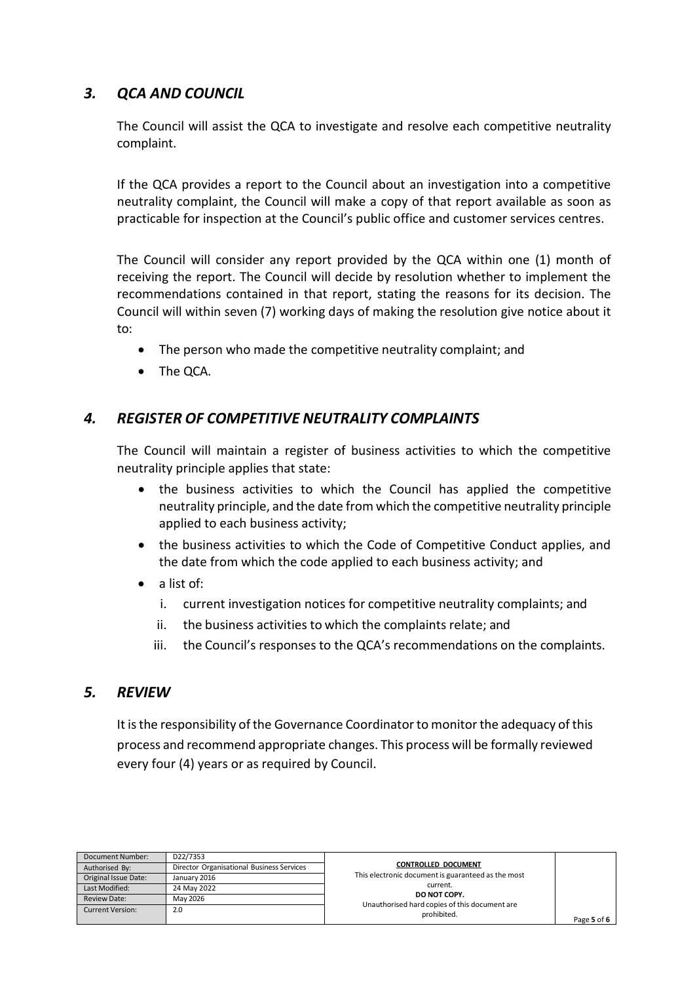# *3. QCA AND COUNCIL*

The Council will assist the QCA to investigate and resolve each competitive neutrality complaint.

If the QCA provides a report to the Council about an investigation into a competitive neutrality complaint, the Council will make a copy of that report available as soon as practicable for inspection at the Council's public office and customer services centres.

The Council will consider any report provided by the QCA within one (1) month of receiving the report. The Council will decide by resolution whether to implement the recommendations contained in that report, stating the reasons for its decision. The Council will within seven (7) working days of making the resolution give notice about it to:

- The person who made the competitive neutrality complaint; and
- The QCA.

#### *4. REGISTER OF COMPETITIVE NEUTRALITY COMPLAINTS*

The Council will maintain a register of business activities to which the competitive neutrality principle applies that state:

- the business activities to which the Council has applied the competitive neutrality principle, and the date from which the competitive neutrality principle applied to each business activity;
- the business activities to which the Code of Competitive Conduct applies, and the date from which the code applied to each business activity; and
- a list of:
	- i. current investigation notices for competitive neutrality complaints; and
	- ii. the business activities to which the complaints relate; and
	- iii. the Council's responses to the QCA's recommendations on the complaints.

#### *5. REVIEW*

It is the responsibility of the Governance Coordinator to monitor the adequacy of this process and recommend appropriate changes. This process will be formally reviewed every four (4) years or as required by Council.

| Document Number:        | D22/7353                                  |                                                               |             |
|-------------------------|-------------------------------------------|---------------------------------------------------------------|-------------|
| Authorised By:          | Director Organisational Business Services | <b>CONTROLLED DOCUMENT</b>                                    |             |
| Original Issue Date:    | January 2016                              | This electronic document is guaranteed as the most            |             |
| Last Modified:          | 24 May 2022                               | current.                                                      |             |
| <b>Review Date:</b>     | May 2026                                  | DO NOT COPY.<br>Unauthorised hard copies of this document are |             |
| <b>Current Version:</b> | 2.0                                       | prohibited.                                                   | Page 5 of 6 |